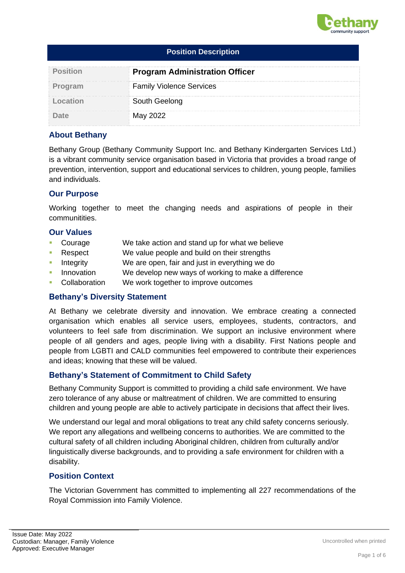

| <b>Position Description</b> |                                       |  |  |
|-----------------------------|---------------------------------------|--|--|
| <b>Position</b>             | <b>Program Administration Officer</b> |  |  |
| Program                     | <b>Family Violence Services</b>       |  |  |
| Location                    | South Geelong                         |  |  |
|                             | May 2022                              |  |  |

# **About Bethany**

Bethany Group (Bethany Community Support Inc. and Bethany Kindergarten Services Ltd.) is a vibrant community service organisation based in Victoria that provides a broad range of prevention, intervention, support and educational services to children, young people, families and individuals.

# **Our Purpose**

Working together to meet the changing needs and aspirations of people in their communitities.

## **Our Values**

- Courage We take action and stand up for what we believe
- Respect We value people and build on their strengths
- **EXECUTE:** Integrity We are open, fair and just in everything we do
- Innovation We develop new ways of working to make a difference
- Collaboration We work together to improve outcomes

## **Bethany's Diversity Statement**

At Bethany we celebrate diversity and innovation. We embrace creating a connected organisation which enables all service users, employees, students, contractors, and volunteers to feel safe from discrimination. We support an inclusive environment where people of all genders and ages, people living with a disability. First Nations people and people from LGBTI and CALD communities feel empowered to contribute their experiences and ideas; knowing that these will be valued.

## **Bethany's Statement of Commitment to Child Safety**

Bethany Community Support is committed to providing a child safe environment. We have zero tolerance of any abuse or maltreatment of children. We are committed to ensuring children and young people are able to actively participate in decisions that affect their lives.

We understand our legal and moral obligations to treat any child safety concerns seriously. We report any allegations and wellbeing concerns to authorities. We are committed to the cultural safety of all children including Aboriginal children, children from culturally and/or linguistically diverse backgrounds, and to providing a safe environment for children with a disability.

## **Position Context**

The Victorian Government has committed to implementing all 227 recommendations of the Royal Commission into Family Violence.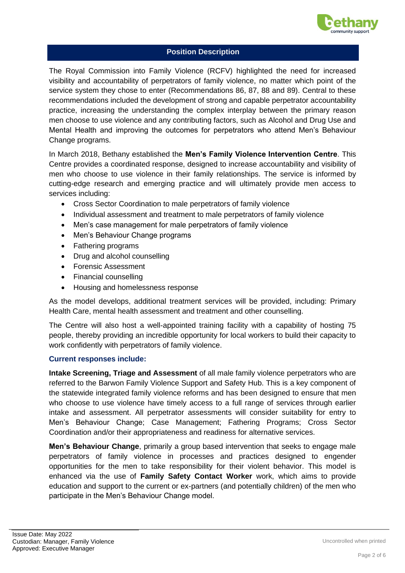

The Royal Commission into Family Violence (RCFV) highlighted the need for increased visibility and accountability of perpetrators of family violence, no matter which point of the service system they chose to enter (Recommendations 86, 87, 88 and 89). Central to these recommendations included the development of strong and capable perpetrator accountability practice, increasing the understanding the complex interplay between the primary reason men choose to use violence and any contributing factors, such as Alcohol and Drug Use and Mental Health and improving the outcomes for perpetrators who attend Men's Behaviour Change programs.

In March 2018, Bethany established the **Men's Family Violence Intervention Centre**. This Centre provides a coordinated response, designed to increase accountability and visibility of men who choose to use violence in their family relationships. The service is informed by cutting-edge research and emerging practice and will ultimately provide men access to services including:

- Cross Sector Coordination to male perpetrators of family violence
- Individual assessment and treatment to male perpetrators of family violence
- Men's case management for male perpetrators of family violence
- Men's Behaviour Change programs
- Fathering programs
- Drug and alcohol counselling
- Forensic Assessment
- Financial counselling
- Housing and homelessness response

As the model develops, additional treatment services will be provided, including: Primary Health Care, mental health assessment and treatment and other counselling.

The Centre will also host a well-appointed training facility with a capability of hosting 75 people, thereby providing an incredible opportunity for local workers to build their capacity to work confidently with perpetrators of family violence.

#### **Current responses include:**

**Intake Screening, Triage and Assessment** of all male family violence perpetrators who are referred to the Barwon Family Violence Support and Safety Hub. This is a key component of the statewide integrated family violence reforms and has been designed to ensure that men who choose to use violence have timely access to a full range of services through earlier intake and assessment. All perpetrator assessments will consider suitability for entry to Men's Behaviour Change; Case Management; Fathering Programs; Cross Sector Coordination and/or their appropriateness and readiness for alternative services.

**Men's Behaviour Change**, primarily a group based intervention that seeks to engage male perpetrators of family violence in processes and practices designed to engender opportunities for the men to take responsibility for their violent behavior. This model is enhanced via the use of **Family Safety Contact Worker** work, which aims to provide education and support to the current or ex-partners (and potentially children) of the men who participate in the Men's Behaviour Change model.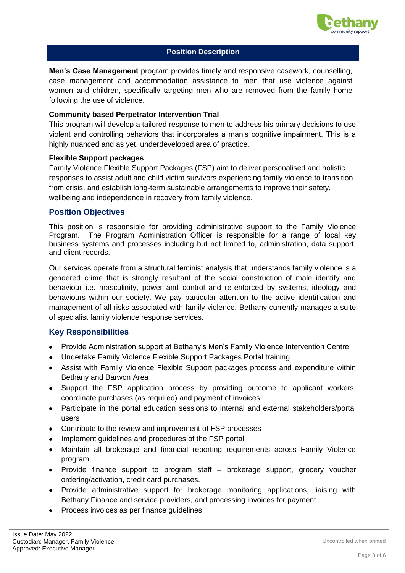

**Men's Case Management** program provides timely and responsive casework, counselling, case management and accommodation assistance to men that use violence against women and children, specifically targeting men who are removed from the family home following the use of violence.

#### **Community based Perpetrator Intervention Trial**

This program will develop a tailored response to men to address his primary decisions to use violent and controlling behaviors that incorporates a man's cognitive impairment. This is a highly nuanced and as yet, underdeveloped area of practice.

#### **Flexible Support packages**

Family Violence Flexible Support Packages (FSP) aim to deliver personalised and holistic responses to assist adult and child victim survivors experiencing family violence to transition from crisis, and establish long-term sustainable arrangements to improve their safety, wellbeing and independence in recovery from family violence.

#### **Position Objectives**

This position is responsible for providing administrative support to the Family Violence Program. The Program Administration Officer is responsible for a range of local key business systems and processes including but not limited to, administration, data support, and client records.

Our services operate from a structural feminist analysis that understands family violence is a gendered crime that is strongly resultant of the social construction of male identify and behaviour i.e. masculinity, power and control and re-enforced by systems, ideology and behaviours within our society. We pay particular attention to the active identification and management of all risks associated with family violence. Bethany currently manages a suite of specialist family violence response services.

#### **Key Responsibilities**

- Provide Administration support at Bethany's Men's Family Violence Intervention Centre
- Undertake Family Violence Flexible Support Packages Portal training
- Assist with Family Violence Flexible Support packages process and expenditure within Bethany and Barwon Area
- Support the FSP application process by providing outcome to applicant workers, coordinate purchases (as required) and payment of invoices
- Participate in the portal education sessions to internal and external stakeholders/portal users
- Contribute to the review and improvement of FSP processes
- Implement quidelines and procedures of the FSP portal
- Maintain all brokerage and financial reporting requirements across Family Violence program.
- Provide finance support to program staff brokerage support, grocery voucher ordering/activation, credit card purchases.
- Provide administrative support for brokerage monitoring applications, liaising with Bethany Finance and service providers, and processing invoices for payment
- Process invoices as per finance guidelines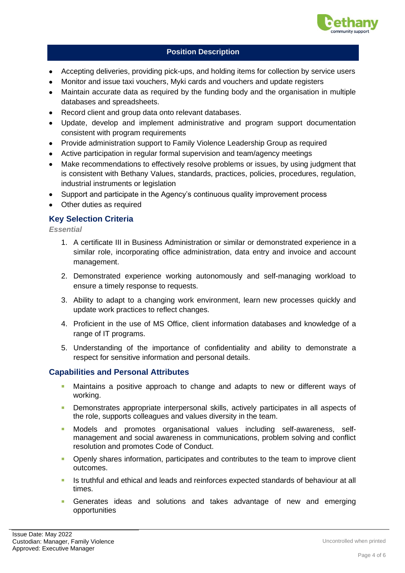

- Accepting deliveries, providing pick-ups, and holding items for collection by service users
- Monitor and issue taxi vouchers, Myki cards and vouchers and update registers
- Maintain accurate data as required by the funding body and the organisation in multiple databases and spreadsheets.
- Record client and group data onto relevant databases.
- Update, develop and implement administrative and program support documentation consistent with program requirements
- Provide administration support to Family Violence Leadership Group as required
- Active participation in regular formal supervision and team/agency meetings
- Make recommendations to effectively resolve problems or issues, by using judgment that is consistent with Bethany Values, standards, practices, policies, procedures, regulation, industrial instruments or legislation
- Support and participate in the Agency's continuous quality improvement process
- Other duties as required

# **Key Selection Criteria**

*Essential*

- 1. A certificate III in Business Administration or similar or demonstrated experience in a similar role, incorporating office administration, data entry and invoice and account management.
- 2. Demonstrated experience working autonomously and self-managing workload to ensure a timely response to requests.
- 3. Ability to adapt to a changing work environment, learn new processes quickly and update work practices to reflect changes.
- 4. Proficient in the use of MS Office, client information databases and knowledge of a range of IT programs.
- 5. Understanding of the importance of confidentiality and ability to demonstrate a respect for sensitive information and personal details.

## **Capabilities and Personal Attributes**

- Maintains a positive approach to change and adapts to new or different ways of working.
- **EXP** Demonstrates appropriate interpersonal skills, actively participates in all aspects of the role, supports colleagues and values diversity in the team.
- **■** Models and promotes organisational values including self-awareness, selfmanagement and social awareness in communications, problem solving and conflict resolution and promotes Code of Conduct.
- **•** Openly shares information, participates and contributes to the team to improve client outcomes.
- Is truthful and ethical and leads and reinforces expected standards of behaviour at all times.
- **Example 2** Generates ideas and solutions and takes advantage of new and emerging opportunities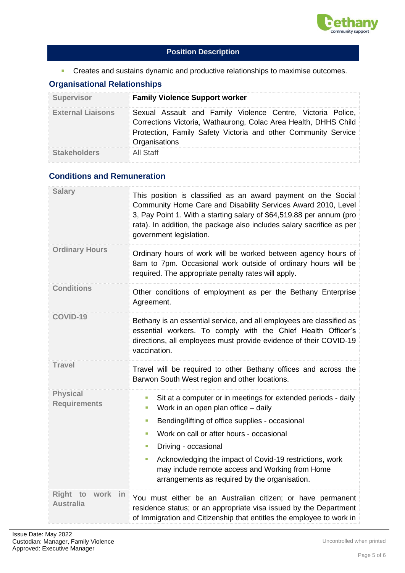

**EXP** Creates and sustains dynamic and productive relationships to maximise outcomes.

# **Organisational Relationships**

| <b>Supervisor</b>        | <b>Family Violence Support worker</b>                                                                                                                                                                             |  |  |
|--------------------------|-------------------------------------------------------------------------------------------------------------------------------------------------------------------------------------------------------------------|--|--|
| <b>External Liaisons</b> | Sexual Assault and Family Violence Centre, Victoria Police,<br>Corrections Victoria, Wathaurong, Colac Area Health, DHHS Child<br>Protection, Family Safety Victoria and other Community Service<br>Organisations |  |  |
| <b>Stakeholders</b>      | All Staff                                                                                                                                                                                                         |  |  |

# **Conditions and Remuneration**

| <b>Salary</b>                          | This position is classified as an award payment on the Social<br>Community Home Care and Disability Services Award 2010, Level<br>3, Pay Point 1. With a starting salary of \$64,519.88 per annum (pro<br>rata). In addition, the package also includes salary sacrifice as per<br>government legislation.                                                                                                                  |  |  |
|----------------------------------------|-----------------------------------------------------------------------------------------------------------------------------------------------------------------------------------------------------------------------------------------------------------------------------------------------------------------------------------------------------------------------------------------------------------------------------|--|--|
| <b>Ordinary Hours</b>                  | Ordinary hours of work will be worked between agency hours of<br>8am to 7pm. Occasional work outside of ordinary hours will be<br>required. The appropriate penalty rates will apply.                                                                                                                                                                                                                                       |  |  |
| Conditions                             | Other conditions of employment as per the Bethany Enterprise<br>Agreement.                                                                                                                                                                                                                                                                                                                                                  |  |  |
| <b>COVID-19</b>                        | Bethany is an essential service, and all employees are classified as<br>essential workers. To comply with the Chief Health Officer's<br>directions, all employees must provide evidence of their COVID-19<br>vaccination.                                                                                                                                                                                                   |  |  |
| <b>Travel</b>                          | Travel will be required to other Bethany offices and across the<br>Barwon South West region and other locations.                                                                                                                                                                                                                                                                                                            |  |  |
| <b>Physical</b><br><b>Requirements</b> | Sit at a computer or in meetings for extended periods - daily<br>п<br>Work in an open plan office - daily<br>I.<br>Bending/lifting of office supplies - occasional<br>I.<br>Work on call or after hours - occasional<br>×<br>Driving - occasional<br>×<br>Acknowledging the impact of Covid-19 restrictions, work<br>T.<br>may include remote access and Working from Home<br>arrangements as required by the organisation. |  |  |
| Right<br>in<br><b>Australia</b>        | You must either be an Australian citizen; or have permanent<br>residence status; or an appropriate visa issued by the Department<br>of Immigration and Citizenship that entitles the employee to work in                                                                                                                                                                                                                    |  |  |